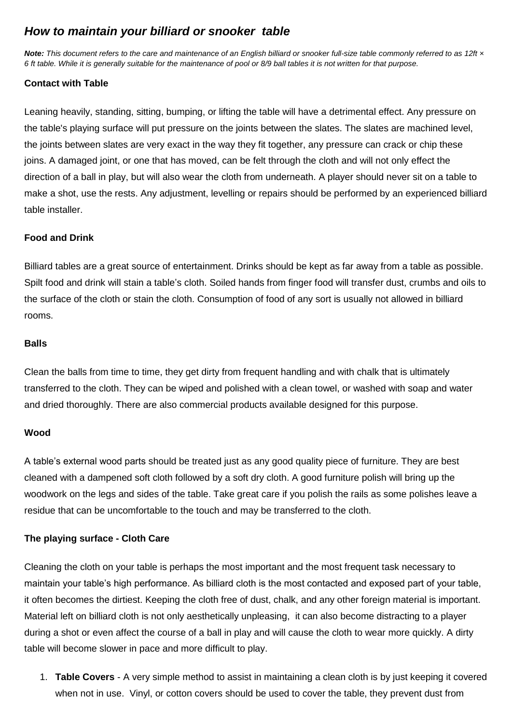# *How to maintain your billiard or snooker table*

*Note: This document refers to the care and maintenance of an English billiard or snooker full-size table commonly referred to as 12ft × 6 ft table. While it is generally suitable for the maintenance of pool or 8/9 ball tables it is not written for that purpose.*

#### **Contact with Table**

Leaning heavily, standing, sitting, bumping, or lifting the table will have a detrimental effect. Any pressure on the table's playing surface will put pressure on the joints between the slates. The slates are machined level, the joints between slates are very exact in the way they fit together, any pressure can crack or chip these joins. A damaged joint, or one that has moved, can be felt through the cloth and will not only effect the direction of a ball in play, but will also wear the cloth from underneath. A player should never sit on a table to make a shot, use the rests. Any adjustment, levelling or repairs should be performed by an experienced billiard table installer.

## **Food and Drink**

Billiard tables are a great source of entertainment. Drinks should be kept as far away from a table as possible. Spilt food and drink will stain a table's cloth. Soiled hands from finger food will transfer dust, crumbs and oils to the surface of the cloth or stain the cloth. Consumption of food of any sort is usually not allowed in billiard rooms.

#### **Balls**

Clean the balls from time to time, they get dirty from frequent handling and with chalk that is ultimately transferred to the cloth. They can be wiped and polished with a clean towel, or washed with soap and water and dried thoroughly. There are also commercial products available designed for this purpose.

#### **Wood**

A table's external wood parts should be treated just as any good quality piece of furniture. They are best cleaned with a dampened soft cloth followed by a soft dry cloth. A good furniture polish will bring up the woodwork on the legs and sides of the table. Take great care if you polish the rails as some polishes leave a residue that can be uncomfortable to the touch and may be transferred to the cloth.

# **The playing surface - Cloth Care**

Cleaning the cloth on your table is perhaps the most important and the most frequent task necessary to maintain your table's high performance. As billiard cloth is the most contacted and exposed part of your table, it often becomes the dirtiest. Keeping the cloth free of dust, chalk, and any other foreign material is important. Material left on billiard cloth is not only aesthetically unpleasing, it can also become distracting to a player during a shot or even affect the course of a ball in play and will cause the cloth to wear more quickly. A dirty table will become slower in pace and more difficult to play.

1. **Table Covers** - A very simple method to assist in maintaining a clean cloth is by just keeping it covered when not in use. Vinyl, or cotton covers should be used to cover the table, they prevent dust from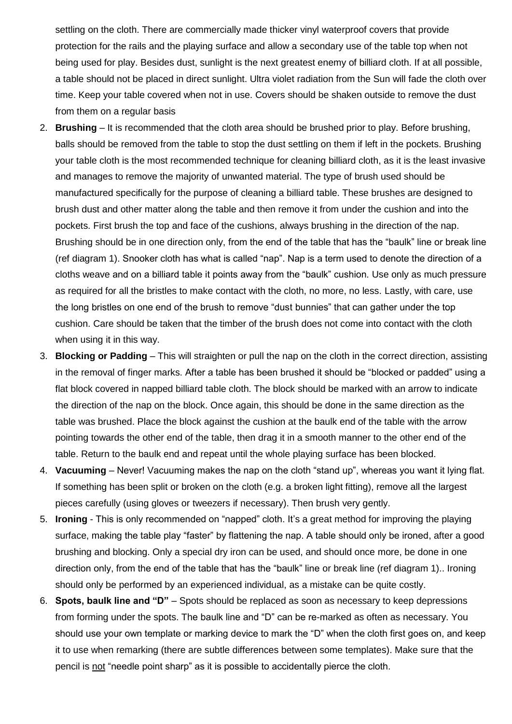settling on the cloth. There are commercially made thicker vinyl waterproof covers that provide protection for the rails and the playing surface and allow a secondary use of the table top when not being used for play. Besides dust, sunlight is the next greatest enemy of billiard cloth. If at all possible, a table should not be placed in direct sunlight. Ultra violet radiation from the Sun will fade the cloth over time. Keep your table covered when not in use. Covers should be shaken outside to remove the dust from them on a regular basis

- 2. **Brushing** It is recommended that the cloth area should be brushed prior to play. Before brushing, balls should be removed from the table to stop the dust settling on them if left in the pockets. Brushing your table cloth is the most recommended technique for cleaning billiard cloth, as it is the least invasive and manages to remove the majority of unwanted material. The type of brush used should be manufactured specifically for the purpose of cleaning a billiard table. These brushes are designed to brush dust and other matter along the table and then remove it from under the cushion and into the pockets. First brush the top and face of the cushions, always brushing in the direction of the nap. Brushing should be in one direction only, from the end of the table that has the "baulk" line or break line (ref diagram 1). Snooker cloth has what is called "nap". Nap is a term used to denote the direction of a cloths weave and on a billiard table it points away from the "baulk" cushion. Use only as much pressure as required for all the bristles to make contact with the cloth, no more, no less. Lastly, with care, use the long bristles on one end of the brush to remove "dust bunnies" that can gather under the top cushion. Care should be taken that the timber of the brush does not come into contact with the cloth when using it in this way.
- 3. **Blocking or Padding** This will straighten or pull the nap on the cloth in the correct direction, assisting in the removal of finger marks. After a table has been brushed it should be "blocked or padded" using a flat block covered in napped billiard table cloth. The block should be marked with an arrow to indicate the direction of the nap on the block. Once again, this should be done in the same direction as the table was brushed. Place the block against the cushion at the baulk end of the table with the arrow pointing towards the other end of the table, then drag it in a smooth manner to the other end of the table. Return to the baulk end and repeat until the whole playing surface has been blocked.
- 4. **Vacuuming** Never! Vacuuming makes the nap on the cloth "stand up", whereas you want it lying flat. If something has been split or broken on the cloth (e.g. a broken light fitting), remove all the largest pieces carefully (using gloves or tweezers if necessary). Then brush very gently.
- 5. **Ironing** This is only recommended on "napped" cloth. It's a great method for improving the playing surface, making the table play "faster" by flattening the nap. A table should only be ironed, after a good brushing and blocking. Only a special dry iron can be used, and should once more, be done in one direction only, from the end of the table that has the "baulk" line or break line (ref diagram 1).. Ironing should only be performed by an experienced individual, as a mistake can be quite costly.
- 6. **Spots, baulk line and "D"** Spots should be replaced as soon as necessary to keep depressions from forming under the spots. The baulk line and "D" can be re-marked as often as necessary. You should use your own template or marking device to mark the "D" when the cloth first goes on, and keep it to use when remarking (there are subtle differences between some templates). Make sure that the pencil is not "needle point sharp" as it is possible to accidentally pierce the cloth.